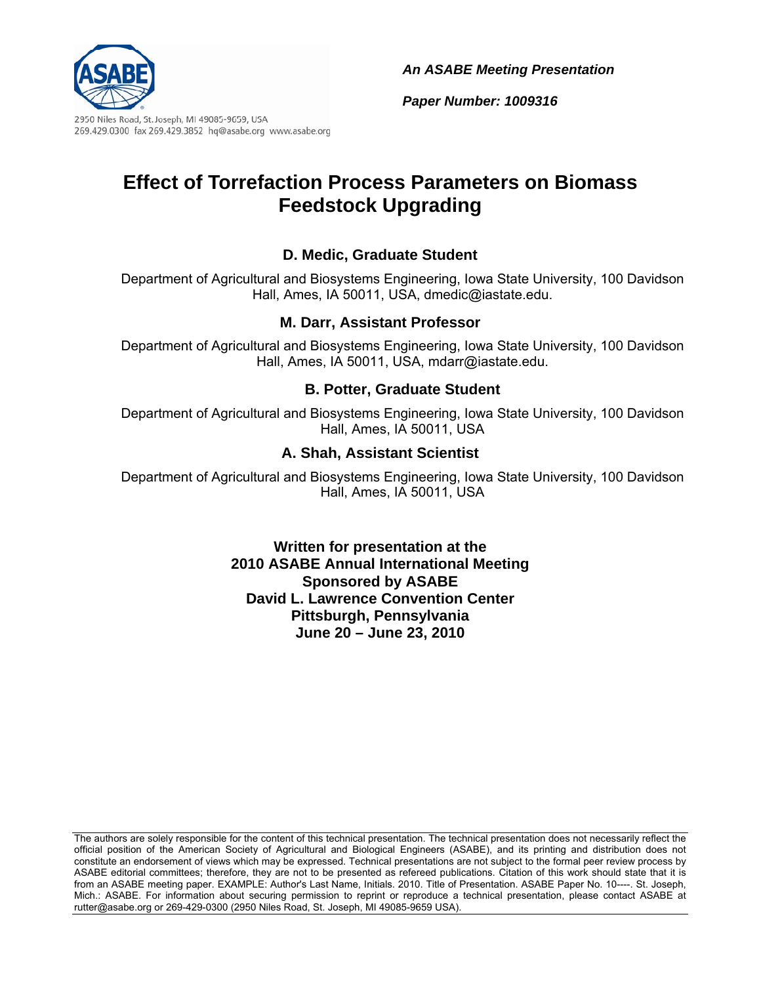2950 Niles Road, St. Joseph, MI 49085-9659, USA

269.429.0300 fax 269.429.3852 hq@asabe.org www.asabe.org

*An ASABE Meeting Presentation*

*Paper Number: 1009316*

# **Effect of Torrefaction Process Parameters on Biomass Feedstock Upgrading**

#### **D. Medic, Graduate Student**

Department of Agricultural and Biosystems Engineering, Iowa State University, 100 Davidson Hall, Ames, IA 50011, USA, dmedic@iastate.edu.

#### **M. Darr, Assistant Professor**

Department of Agricultural and Biosystems Engineering, Iowa State University, 100 Davidson Hall, Ames, IA 50011, USA, mdarr@iastate.edu.

#### **B. Potter, Graduate Student**

Department of Agricultural and Biosystems Engineering, Iowa State University, 100 Davidson Hall, Ames, IA 50011, USA

#### **A. Shah, Assistant Scientist**

Department of Agricultural and Biosystems Engineering, Iowa State University, 100 Davidson Hall, Ames, IA 50011, USA

> **Written for presentation at the 2010 ASABE Annual International Meeting Sponsored by ASABE David L. Lawrence Convention Center Pittsburgh, Pennsylvania June 20 – June 23, 2010**

The authors are solely responsible for the content of this technical presentation. The technical presentation does not necessarily reflect the official position of the American Society of Agricultural and Biological Engineers (ASABE), and its printing and distribution does not constitute an endorsement of views which may be expressed. Technical presentations are not subject to the formal peer review process by ASABE editorial committees; therefore, they are not to be presented as refereed publications. Citation of this work should state that it is from an ASABE meeting paper. EXAMPLE: Author's Last Name, Initials. 2010. Title of Presentation. ASABE Paper No. 10----. St. Joseph, Mich.: ASABE. For information about securing permission to reprint or reproduce a technical presentation, please contact ASABE at rutter@asabe.org or 269-429-0300 (2950 Niles Road, St. Joseph, MI 49085-9659 USA).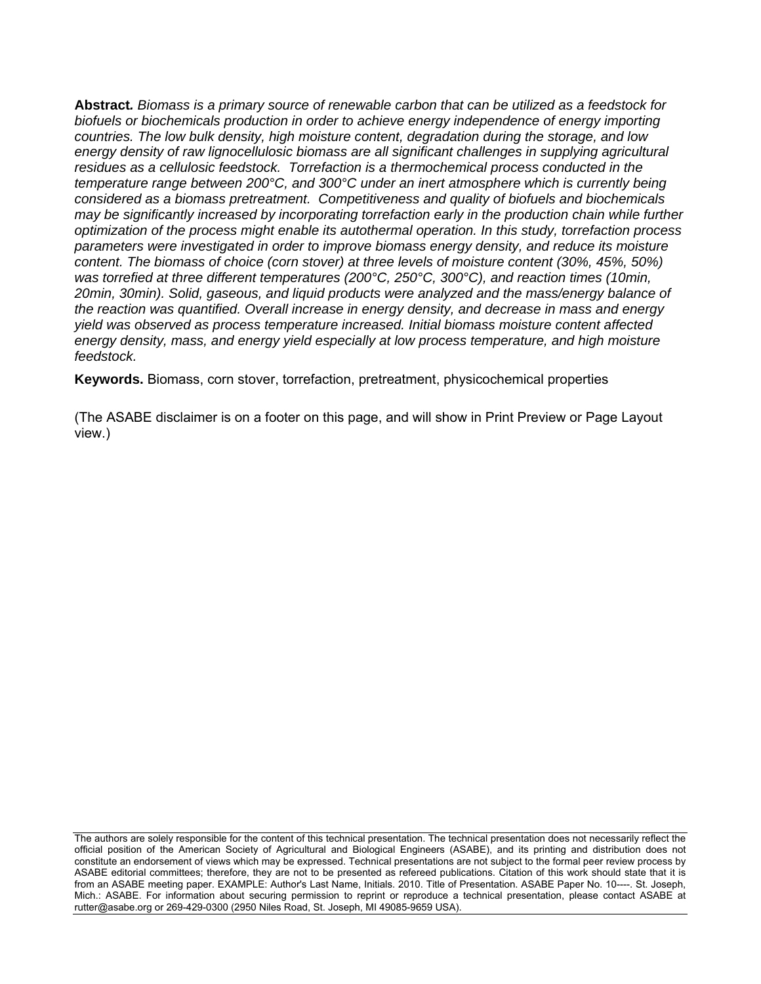**Abstract***. Biomass is a primary source of renewable carbon that can be utilized as a feedstock for biofuels or biochemicals production in order to achieve energy independence of energy importing countries. The low bulk density, high moisture content, degradation during the storage, and low energy density of raw lignocellulosic biomass are all significant challenges in supplying agricultural residues as a cellulosic feedstock. Torrefaction is a thermochemical process conducted in the temperature range between 200°C, and 300°C under an inert atmosphere which is currently being considered as a biomass pretreatment. Competitiveness and quality of biofuels and biochemicals may be significantly increased by incorporating torrefaction early in the production chain while further optimization of the process might enable its autothermal operation. In this study, torrefaction process parameters were investigated in order to improve biomass energy density, and reduce its moisture content. The biomass of choice (corn stover) at three levels of moisture content (30%, 45%, 50%) was torrefied at three different temperatures (200°C, 250°C, 300°C), and reaction times (10min, 20min, 30min). Solid, gaseous, and liquid products were analyzed and the mass/energy balance of the reaction was quantified. Overall increase in energy density, and decrease in mass and energy yield was observed as process temperature increased. Initial biomass moisture content affected energy density, mass, and energy yield especially at low process temperature, and high moisture feedstock.* 

**Keywords.** Biomass, corn stover, torrefaction, pretreatment, physicochemical properties

(The ASABE disclaimer is on a footer on this page, and will show in Print Preview or Page Layout view.)

The authors are solely responsible for the content of this technical presentation. The technical presentation does not necessarily reflect the official position of the American Society of Agricultural and Biological Engineers (ASABE), and its printing and distribution does not constitute an endorsement of views which may be expressed. Technical presentations are not subject to the formal peer review process by ASABE editorial committees; therefore, they are not to be presented as refereed publications. Citation of this work should state that it is from an ASABE meeting paper. EXAMPLE: Author's Last Name, Initials. 2010. Title of Presentation. ASABE Paper No. 10----. St. Joseph, Mich.: ASABE. For information about securing permission to reprint or reproduce a technical presentation, please contact ASABE at rutter@asabe.org or 269-429-0300 (2950 Niles Road, St. Joseph, MI 49085-9659 USA).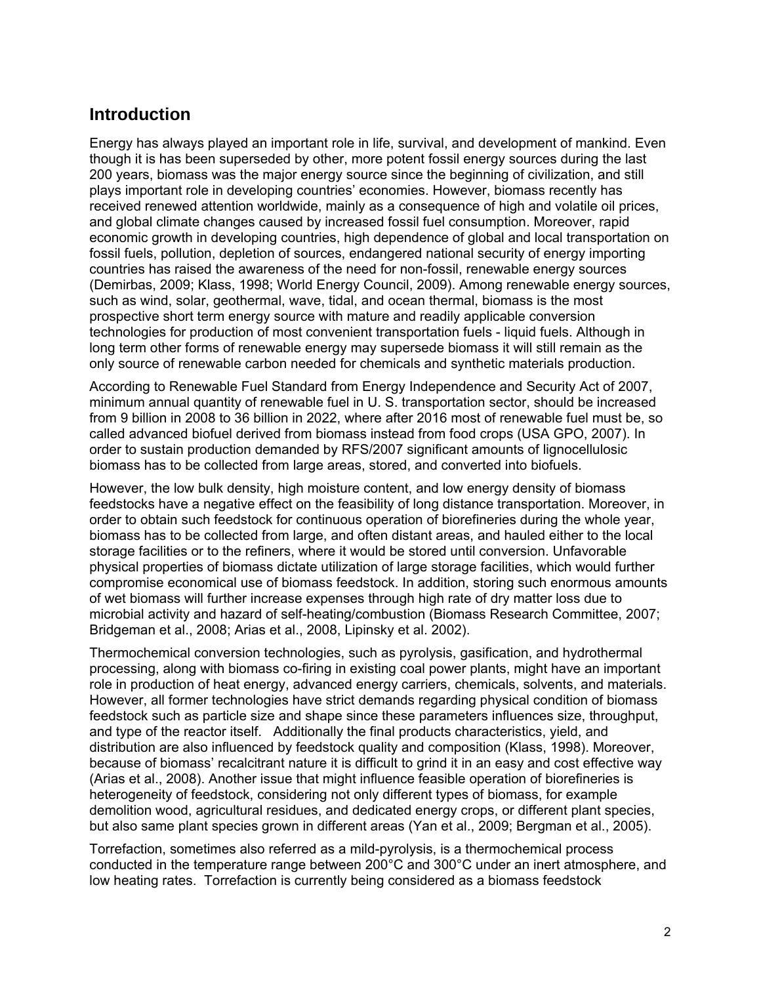### **Introduction**

Energy has always played an important role in life, survival, and development of mankind. Even though it is has been superseded by other, more potent fossil energy sources during the last 200 years, biomass was the major energy source since the beginning of civilization, and still plays important role in developing countries' economies. However, biomass recently has received renewed attention worldwide, mainly as a consequence of high and volatile oil prices, and global climate changes caused by increased fossil fuel consumption. Moreover, rapid economic growth in developing countries, high dependence of global and local transportation on fossil fuels, pollution, depletion of sources, endangered national security of energy importing countries has raised the awareness of the need for non-fossil, renewable energy sources (Demirbas, 2009; Klass, 1998; World Energy Council, 2009). Among renewable energy sources, such as wind, solar, geothermal, wave, tidal, and ocean thermal, biomass is the most prospective short term energy source with mature and readily applicable conversion technologies for production of most convenient transportation fuels - liquid fuels. Although in long term other forms of renewable energy may supersede biomass it will still remain as the only source of renewable carbon needed for chemicals and synthetic materials production.

According to Renewable Fuel Standard from Energy Independence and Security Act of 2007, minimum annual quantity of renewable fuel in U. S. transportation sector, should be increased from 9 billion in 2008 to 36 billion in 2022, where after 2016 most of renewable fuel must be, so called advanced biofuel derived from biomass instead from food crops (USA GPO, 2007). In order to sustain production demanded by RFS/2007 significant amounts of lignocellulosic biomass has to be collected from large areas, stored, and converted into biofuels.

However, the low bulk density, high moisture content, and low energy density of biomass feedstocks have a negative effect on the feasibility of long distance transportation. Moreover, in order to obtain such feedstock for continuous operation of biorefineries during the whole year, biomass has to be collected from large, and often distant areas, and hauled either to the local storage facilities or to the refiners, where it would be stored until conversion. Unfavorable physical properties of biomass dictate utilization of large storage facilities, which would further compromise economical use of biomass feedstock. In addition, storing such enormous amounts of wet biomass will further increase expenses through high rate of dry matter loss due to microbial activity and hazard of self-heating/combustion (Biomass Research Committee, 2007; Bridgeman et al., 2008; Arias et al., 2008, Lipinsky et al. 2002).

Thermochemical conversion technologies, such as pyrolysis, gasification, and hydrothermal processing, along with biomass co-firing in existing coal power plants, might have an important role in production of heat energy, advanced energy carriers, chemicals, solvents, and materials. However, all former technologies have strict demands regarding physical condition of biomass feedstock such as particle size and shape since these parameters influences size, throughput, and type of the reactor itself. Additionally the final products characteristics, yield, and distribution are also influenced by feedstock quality and composition (Klass, 1998). Moreover, because of biomass' recalcitrant nature it is difficult to grind it in an easy and cost effective way (Arias et al., 2008). Another issue that might influence feasible operation of biorefineries is heterogeneity of feedstock, considering not only different types of biomass, for example demolition wood, agricultural residues, and dedicated energy crops, or different plant species, but also same plant species grown in different areas (Yan et al., 2009; Bergman et al., 2005).

Torrefaction, sometimes also referred as a mild-pyrolysis, is a thermochemical process conducted in the temperature range between 200°C and 300°C under an inert atmosphere, and low heating rates. Torrefaction is currently being considered as a biomass feedstock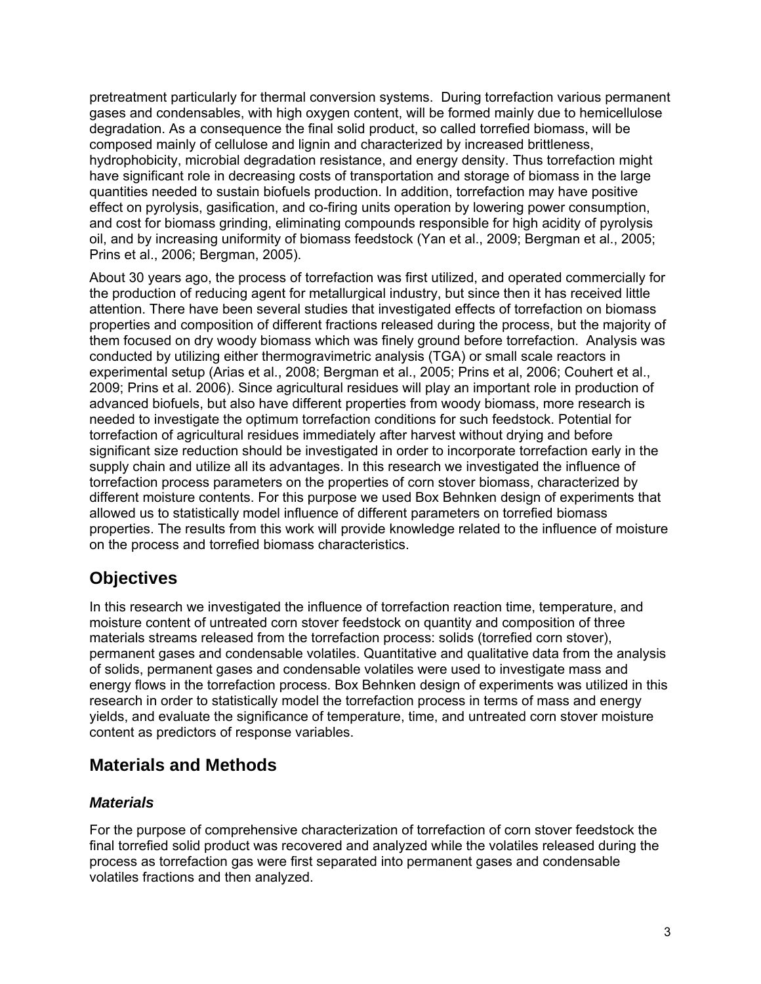pretreatment particularly for thermal conversion systems. During torrefaction various permanent gases and condensables, with high oxygen content, will be formed mainly due to hemicellulose degradation. As a consequence the final solid product, so called torrefied biomass, will be composed mainly of cellulose and lignin and characterized by increased brittleness, hydrophobicity, microbial degradation resistance, and energy density. Thus torrefaction might have significant role in decreasing costs of transportation and storage of biomass in the large quantities needed to sustain biofuels production. In addition, torrefaction may have positive effect on pyrolysis, gasification, and co-firing units operation by lowering power consumption, and cost for biomass grinding, eliminating compounds responsible for high acidity of pyrolysis oil, and by increasing uniformity of biomass feedstock (Yan et al., 2009; Bergman et al., 2005; Prins et al., 2006; Bergman, 2005).

About 30 years ago, the process of torrefaction was first utilized, and operated commercially for the production of reducing agent for metallurgical industry, but since then it has received little attention. There have been several studies that investigated effects of torrefaction on biomass properties and composition of different fractions released during the process, but the majority of them focused on dry woody biomass which was finely ground before torrefaction. Analysis was conducted by utilizing either thermogravimetric analysis (TGA) or small scale reactors in experimental setup (Arias et al., 2008; Bergman et al., 2005; Prins et al, 2006; Couhert et al., 2009; Prins et al. 2006). Since agricultural residues will play an important role in production of advanced biofuels, but also have different properties from woody biomass, more research is needed to investigate the optimum torrefaction conditions for such feedstock. Potential for torrefaction of agricultural residues immediately after harvest without drying and before significant size reduction should be investigated in order to incorporate torrefaction early in the supply chain and utilize all its advantages. In this research we investigated the influence of torrefaction process parameters on the properties of corn stover biomass, characterized by different moisture contents. For this purpose we used Box Behnken design of experiments that allowed us to statistically model influence of different parameters on torrefied biomass properties. The results from this work will provide knowledge related to the influence of moisture on the process and torrefied biomass characteristics.

# **Objectives**

In this research we investigated the influence of torrefaction reaction time, temperature, and moisture content of untreated corn stover feedstock on quantity and composition of three materials streams released from the torrefaction process: solids (torrefied corn stover), permanent gases and condensable volatiles. Quantitative and qualitative data from the analysis of solids, permanent gases and condensable volatiles were used to investigate mass and energy flows in the torrefaction process. Box Behnken design of experiments was utilized in this research in order to statistically model the torrefaction process in terms of mass and energy yields, and evaluate the significance of temperature, time, and untreated corn stover moisture content as predictors of response variables.

## **Materials and Methods**

#### *Materials*

For the purpose of comprehensive characterization of torrefaction of corn stover feedstock the final torrefied solid product was recovered and analyzed while the volatiles released during the process as torrefaction gas were first separated into permanent gases and condensable volatiles fractions and then analyzed.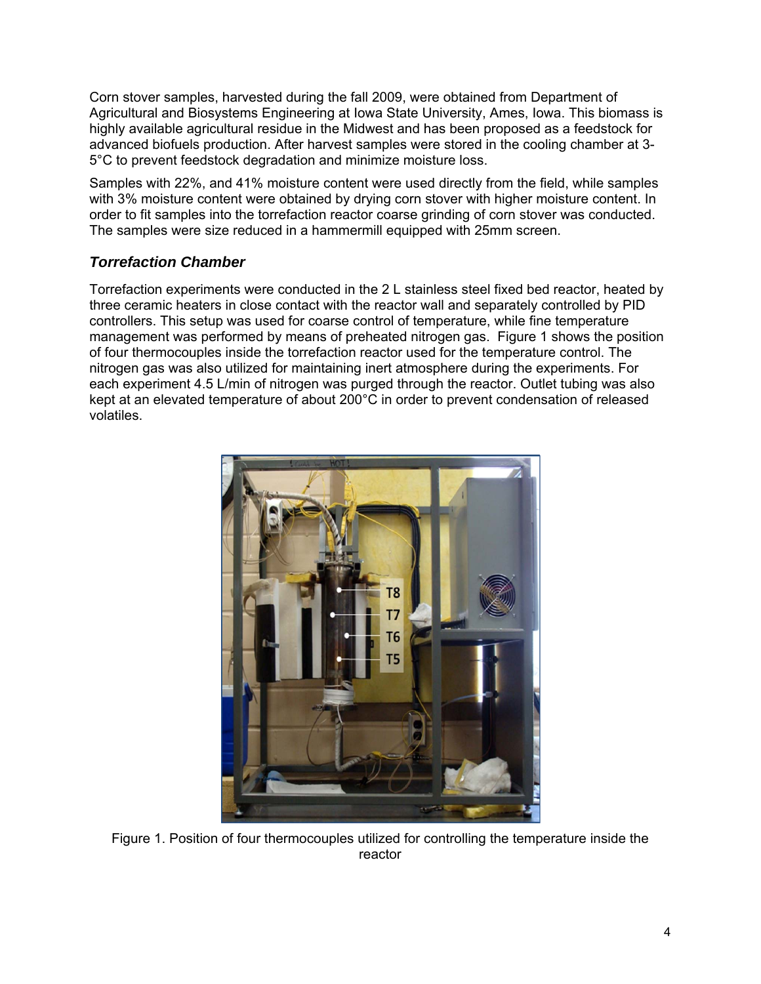Corn stover samples, harvested during the fall 2009, were obtained from Department of Agricultural and Biosystems Engineering at Iowa State University, Ames, Iowa. This biomass is highly available agricultural residue in the Midwest and has been proposed as a feedstock for advanced biofuels production. After harvest samples were stored in the cooling chamber at 3- 5°C to prevent feedstock degradation and minimize moisture loss.

Samples with 22%, and 41% moisture content were used directly from the field, while samples with 3% moisture content were obtained by drying corn stover with higher moisture content. In order to fit samples into the torrefaction reactor coarse grinding of corn stover was conducted. The samples were size reduced in a hammermill equipped with 25mm screen.

#### *Torrefaction Chamber*

Torrefaction experiments were conducted in the 2 L stainless steel fixed bed reactor, heated by three ceramic heaters in close contact with the reactor wall and separately controlled by PID controllers. This setup was used for coarse control of temperature, while fine temperature management was performed by means of preheated nitrogen gas. Figure 1 shows the position of four thermocouples inside the torrefaction reactor used for the temperature control. The nitrogen gas was also utilized for maintaining inert atmosphere during the experiments. For each experiment 4.5 L/min of nitrogen was purged through the reactor. Outlet tubing was also kept at an elevated temperature of about 200°C in order to prevent condensation of released volatiles.



Figure 1. Position of four thermocouples utilized for controlling the temperature inside the reactor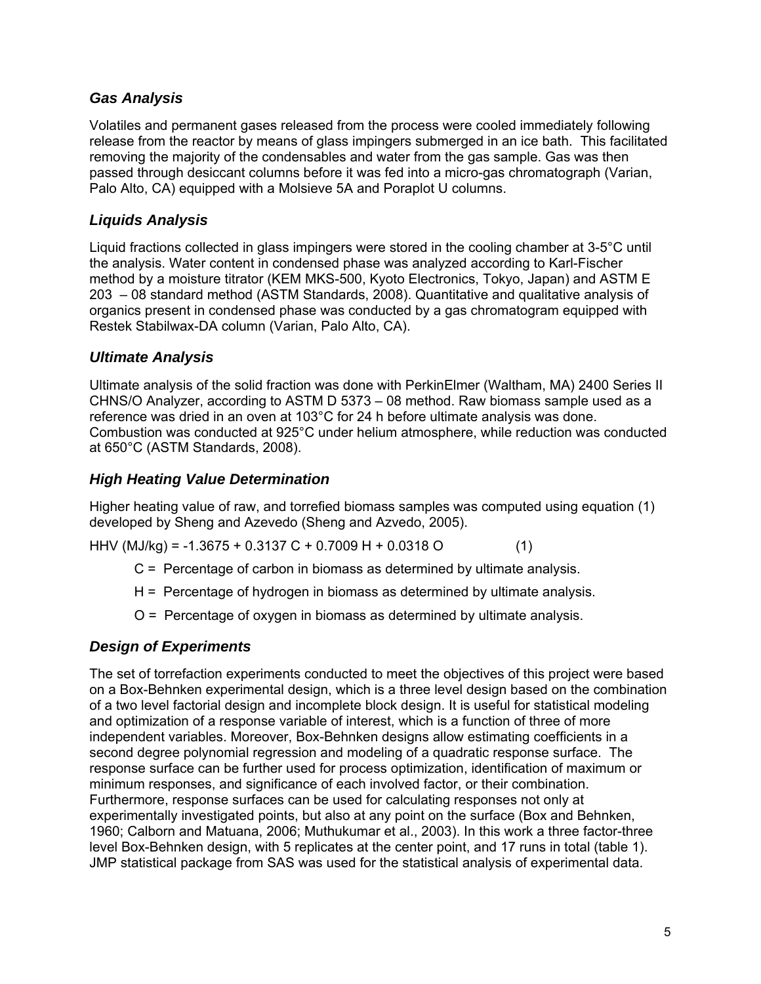#### *Gas Analysis*

Volatiles and permanent gases released from the process were cooled immediately following release from the reactor by means of glass impingers submerged in an ice bath. This facilitated removing the majority of the condensables and water from the gas sample. Gas was then passed through desiccant columns before it was fed into a micro-gas chromatograph (Varian, Palo Alto, CA) equipped with a Molsieve 5A and Poraplot U columns.

#### *Liquids Analysis*

Liquid fractions collected in glass impingers were stored in the cooling chamber at 3-5°C until the analysis. Water content in condensed phase was analyzed according to Karl-Fischer method by a moisture titrator (KEM MKS-500, Kyoto Electronics, Tokyo, Japan) and ASTM E 203 – 08 standard method (ASTM Standards, 2008). Quantitative and qualitative analysis of organics present in condensed phase was conducted by a gas chromatogram equipped with Restek Stabilwax-DA column (Varian, Palo Alto, CA).

#### *Ultimate Analysis*

Ultimate analysis of the solid fraction was done with PerkinElmer (Waltham, MA) 2400 Series II CHNS/O Analyzer, according to ASTM D 5373 – 08 method. Raw biomass sample used as a reference was dried in an oven at 103°C for 24 h before ultimate analysis was done. Combustion was conducted at 925°C under helium atmosphere, while reduction was conducted at 650°C (ASTM Standards, 2008).

#### *High Heating Value Determination*

Higher heating value of raw, and torrefied biomass samples was computed using equation (1) developed by Sheng and Azevedo (Sheng and Azvedo, 2005).

HHV (MJ/kg) =  $-1.3675 + 0.3137$  C + 0.7009 H + 0.0318 O (1)

- C = Percentage of carbon in biomass as determined by ultimate analysis.
- H = Percentage of hydrogen in biomass as determined by ultimate analysis.
- O = Percentage of oxygen in biomass as determined by ultimate analysis.

#### *Design of Experiments*

The set of torrefaction experiments conducted to meet the objectives of this project were based on a Box-Behnken experimental design, which is a three level design based on the combination of a two level factorial design and incomplete block design. It is useful for statistical modeling and optimization of a response variable of interest, which is a function of three of more independent variables. Moreover, Box-Behnken designs allow estimating coefficients in a second degree polynomial regression and modeling of a quadratic response surface. The response surface can be further used for process optimization, identification of maximum or minimum responses, and significance of each involved factor, or their combination. Furthermore, response surfaces can be used for calculating responses not only at experimentally investigated points, but also at any point on the surface (Box and Behnken, 1960; Calborn and Matuana, 2006; Muthukumar et al., 2003). In this work a three factor-three level Box-Behnken design, with 5 replicates at the center point, and 17 runs in total (table 1). JMP statistical package from SAS was used for the statistical analysis of experimental data.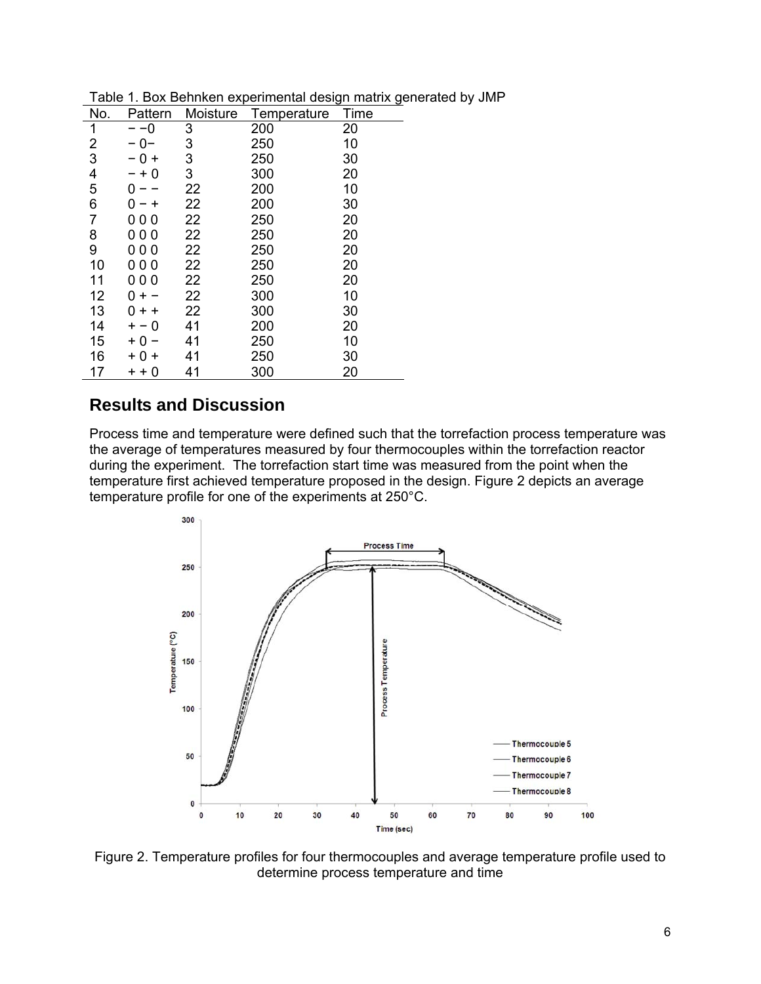| No.            | Pattern  | Moisture | Temperature | Time |
|----------------|----------|----------|-------------|------|
| 1              | - -0     | 3        | 200         | 20   |
| $\overline{c}$ | $-0-$    | 3        | 250         | 10   |
| 3              | $-0+$    | 3        | 250         | 30   |
| 4              | $- + 0$  | 3        | 300         | 20   |
| 5              | 0        | 22       | 200         | 10   |
| 6              | 0<br>- + | 22       | 200         | 30   |
| 7              | 000      | 22       | 250         | 20   |
| 8              | 000      | 22       | 250         | 20   |
| 9              | 000      | 22       | 250         | 20   |
| 10             | 000      | 22       | 250         | 20   |
| 11             | 000      | 22       | 250         | 20   |
| 12             | $0 + -$  | 22       | 300         | 10   |
| 13             | $0 + +$  | 22       | 300         | 30   |
| 14             | + - 0    | 41       | 200         | 20   |
| 15             | $+0-$    | 41       | 250         | 10   |
| 16             | $+0+$    | 41       | 250         | 30   |
| 17             | + + 0    | 41       | 300         | 20   |

Table 1. Box Behnken experimental design matrix generated by JMP

### **Results and Discussion**

Process time and temperature were defined such that the torrefaction process temperature was the average of temperatures measured by four thermocouples within the torrefaction reactor during the experiment. The torrefaction start time was measured from the point when the temperature first achieved temperature proposed in the design. Figure 2 depicts an average temperature profile for one of the experiments at 250°C.



Figure 2. Temperature profiles for four thermocouples and average temperature profile used to determine process temperature and time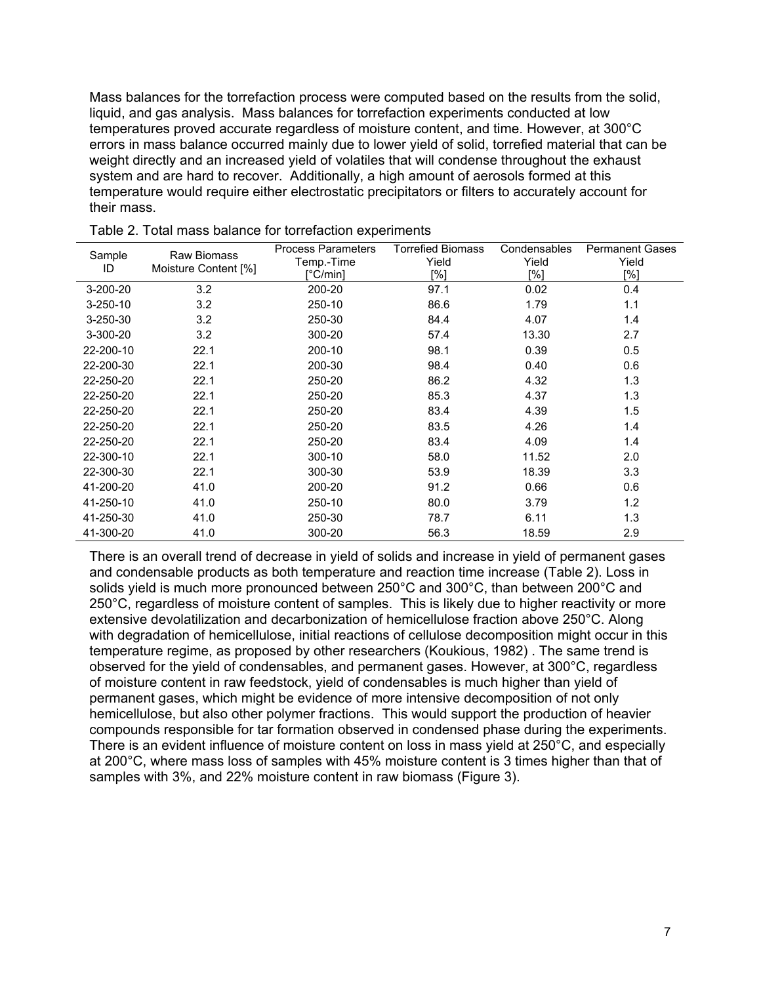Mass balances for the torrefaction process were computed based on the results from the solid, liquid, and gas analysis. Mass balances for torrefaction experiments conducted at low temperatures proved accurate regardless of moisture content, and time. However, at 300°C errors in mass balance occurred mainly due to lower yield of solid, torrefied material that can be weight directly and an increased yield of volatiles that will condense throughout the exhaust system and are hard to recover. Additionally, a high amount of aerosols formed at this temperature would require either electrostatic precipitators or filters to accurately account for their mass.

| Sample<br>ID   | Raw Biomass<br>Moisture Content [%] | <b>Process Parameters</b> | <b>Torrefied Biomass</b> | Condensables | <b>Permanent Gases</b> |
|----------------|-------------------------------------|---------------------------|--------------------------|--------------|------------------------|
|                |                                     | Temp.-Time                | Yield                    | Yield        | Yield                  |
|                |                                     | °C/min]                   | [%]                      | [%]          | [%]                    |
| 3-200-20       | 3.2                                 | 200-20                    | 97.1                     | 0.02         | 0.4                    |
| $3 - 250 - 10$ | 3.2                                 | 250-10                    | 86.6                     | 1.79         | 1.1                    |
| 3-250-30       | 3.2                                 | 250-30                    | 84.4                     | 4.07         | 1.4                    |
| 3-300-20       | 3.2                                 | 300-20                    | 57.4                     | 13.30        | 2.7                    |
| 22-200-10      | 22.1                                | 200-10                    | 98.1                     | 0.39         | 0.5                    |
| 22-200-30      | 22.1                                | 200-30                    | 98.4                     | 0.40         | 0.6                    |
| 22-250-20      | 22.1                                | 250-20                    | 86.2                     | 4.32         | 1.3                    |
| 22-250-20      | 22.1                                | 250-20                    | 85.3                     | 4.37         | 1.3                    |
| 22-250-20      | 22.1                                | 250-20                    | 83.4                     | 4.39         | 1.5                    |
| 22-250-20      | 22.1                                | 250-20                    | 83.5                     | 4.26         | 1.4                    |
| 22-250-20      | 22.1                                | 250-20                    | 83.4                     | 4.09         | 1.4                    |
| 22-300-10      | 22.1                                | $300 - 10$                | 58.0                     | 11.52        | 2.0                    |
| 22-300-30      | 22.1                                | 300-30                    | 53.9                     | 18.39        | 3.3                    |
| 41-200-20      | 41.0                                | 200-20                    | 91.2                     | 0.66         | 0.6                    |
| 41-250-10      | 41.0                                | 250-10                    | 80.0                     | 3.79         | 1.2                    |
| 41-250-30      | 41.0                                | 250-30                    | 78.7                     | 6.11         | 1.3                    |
| 41-300-20      | 41.0                                | 300-20                    | 56.3                     | 18.59        | 2.9                    |

Table 2. Total mass balance for torrefaction experiments

There is an overall trend of decrease in yield of solids and increase in yield of permanent gases and condensable products as both temperature and reaction time increase (Table 2). Loss in solids yield is much more pronounced between 250°C and 300°C, than between 200°C and 250°C, regardless of moisture content of samples. This is likely due to higher reactivity or more extensive devolatilization and decarbonization of hemicellulose fraction above 250°C. Along with degradation of hemicellulose, initial reactions of cellulose decomposition might occur in this temperature regime, as proposed by other researchers (Koukious, 1982) . The same trend is observed for the yield of condensables, and permanent gases. However, at 300°C, regardless of moisture content in raw feedstock, yield of condensables is much higher than yield of permanent gases, which might be evidence of more intensive decomposition of not only hemicellulose, but also other polymer fractions. This would support the production of heavier compounds responsible for tar formation observed in condensed phase during the experiments. There is an evident influence of moisture content on loss in mass yield at 250°C, and especially at 200°C, where mass loss of samples with 45% moisture content is 3 times higher than that of samples with 3%, and 22% moisture content in raw biomass (Figure 3).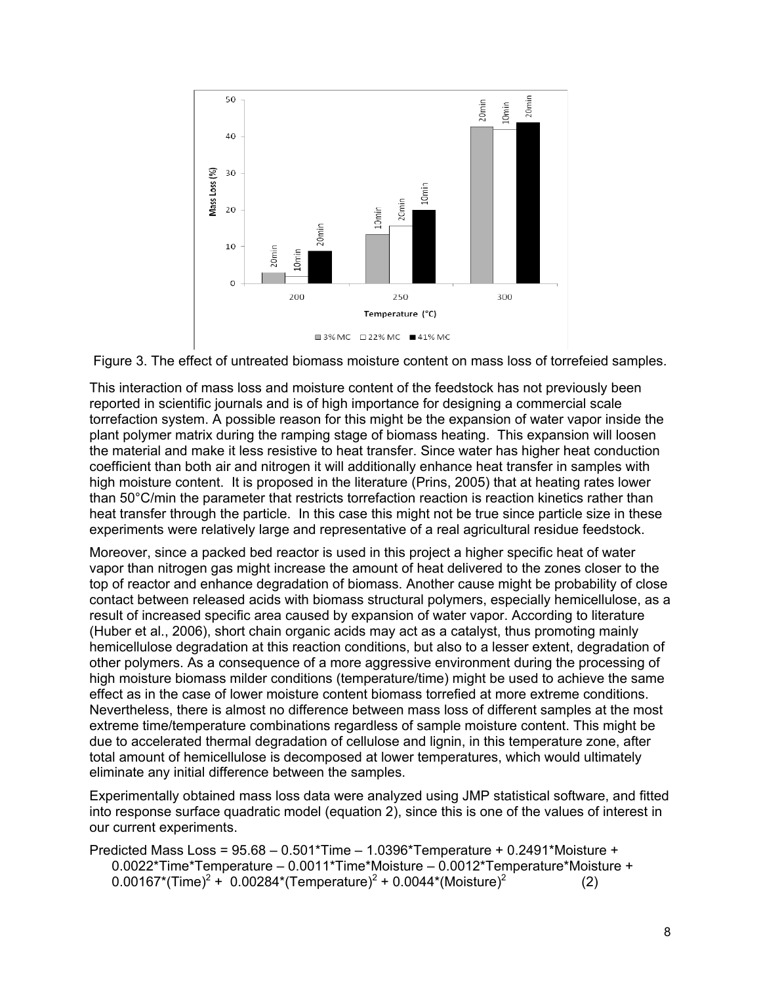



This interaction of mass loss and moisture content of the feedstock has not previously been reported in scientific journals and is of high importance for designing a commercial scale torrefaction system. A possible reason for this might be the expansion of water vapor inside the plant polymer matrix during the ramping stage of biomass heating. This expansion will loosen the material and make it less resistive to heat transfer. Since water has higher heat conduction coefficient than both air and nitrogen it will additionally enhance heat transfer in samples with high moisture content. It is proposed in the literature (Prins, 2005) that at heating rates lower than 50°C/min the parameter that restricts torrefaction reaction is reaction kinetics rather than heat transfer through the particle. In this case this might not be true since particle size in these experiments were relatively large and representative of a real agricultural residue feedstock.

Moreover, since a packed bed reactor is used in this project a higher specific heat of water vapor than nitrogen gas might increase the amount of heat delivered to the zones closer to the top of reactor and enhance degradation of biomass. Another cause might be probability of close contact between released acids with biomass structural polymers, especially hemicellulose, as a result of increased specific area caused by expansion of water vapor. According to literature (Huber et al., 2006), short chain organic acids may act as a catalyst, thus promoting mainly hemicellulose degradation at this reaction conditions, but also to a lesser extent, degradation of other polymers. As a consequence of a more aggressive environment during the processing of high moisture biomass milder conditions (temperature/time) might be used to achieve the same effect as in the case of lower moisture content biomass torrefied at more extreme conditions. Nevertheless, there is almost no difference between mass loss of different samples at the most extreme time/temperature combinations regardless of sample moisture content. This might be due to accelerated thermal degradation of cellulose and lignin, in this temperature zone, after total amount of hemicellulose is decomposed at lower temperatures, which would ultimately eliminate any initial difference between the samples.

Experimentally obtained mass loss data were analyzed using JMP statistical software, and fitted into response surface quadratic model (equation 2), since this is one of the values of interest in our current experiments.

Predicted Mass Loss = 95.68 – 0.501\*Time – 1.0396\*Temperature + 0.2491\*Moisture + 0.0022\*Time\*Temperature – 0.0011\*Time\*Moisture – 0.0012\*Temperature\*Moisture + 0.00167\*(Time)<sup>2</sup> + 0.00284\*(Temperature)<sup>2</sup> + 0.0044\*(Moisture)<sup>2</sup> (2)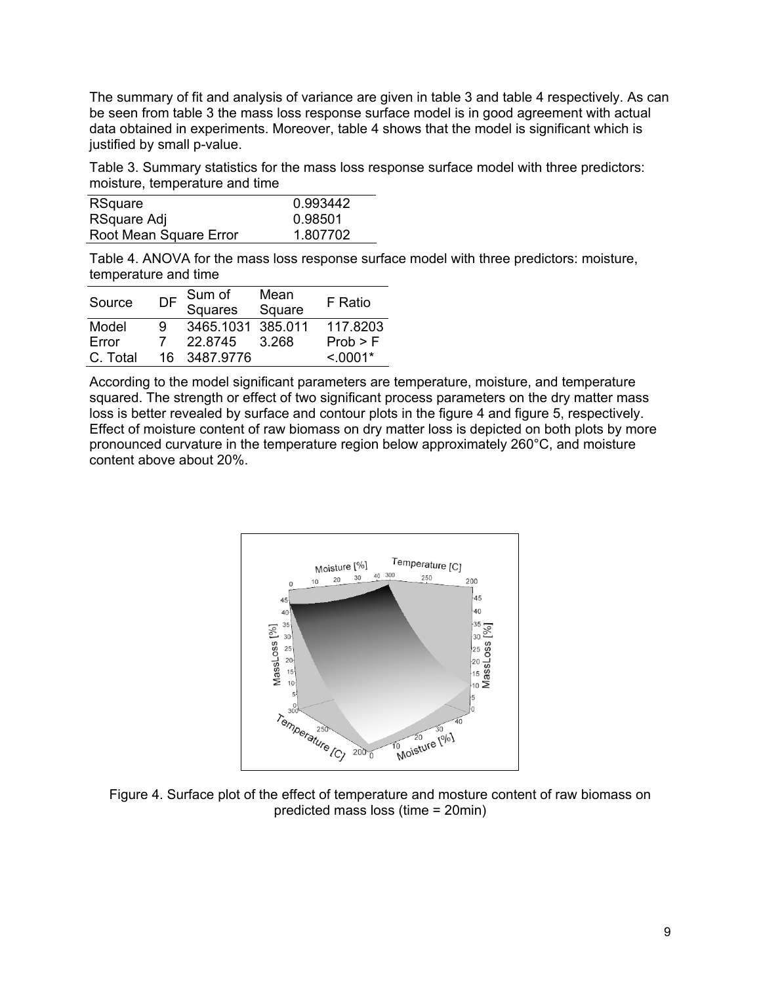The summary of fit and analysis of variance are given in table 3 and table 4 respectively. As can be seen from table 3 the mass loss response surface model is in good agreement with actual data obtained in experiments. Moreover, table 4 shows that the model is significant which is justified by small p-value.

Table 3. Summary statistics for the mass loss response surface model with three predictors: moisture, temperature and time

| RSquare                | 0.993442 |
|------------------------|----------|
| RSquare Adj            | 0.98501  |
| Root Mean Square Error | 1.807702 |

Table 4. ANOVA for the mass loss response surface model with three predictors: moisture, temperature and time

| Source   | DF | Sum of            | Mean   | F Ratio    |  |
|----------|----|-------------------|--------|------------|--|
|          |    | Squares           | Square |            |  |
| Model    | 9  | 3465.1031 385.011 |        | 117.8203   |  |
| Error    |    | 22.8745           | 3.268  | Prob > F   |  |
| C. Total | 16 | 3487.9776         |        | $< 0.001*$ |  |

According to the model significant parameters are temperature, moisture, and temperature squared. The strength or effect of two significant process parameters on the dry matter mass loss is better revealed by surface and contour plots in the figure 4 and figure 5, respectively. Effect of moisture content of raw biomass on dry matter loss is depicted on both plots by more pronounced curvature in the temperature region below approximately 260°C, and moisture content above about 20%.



Figure 4. Surface plot of the effect of temperature and mosture content of raw biomass on predicted mass loss (time = 20min)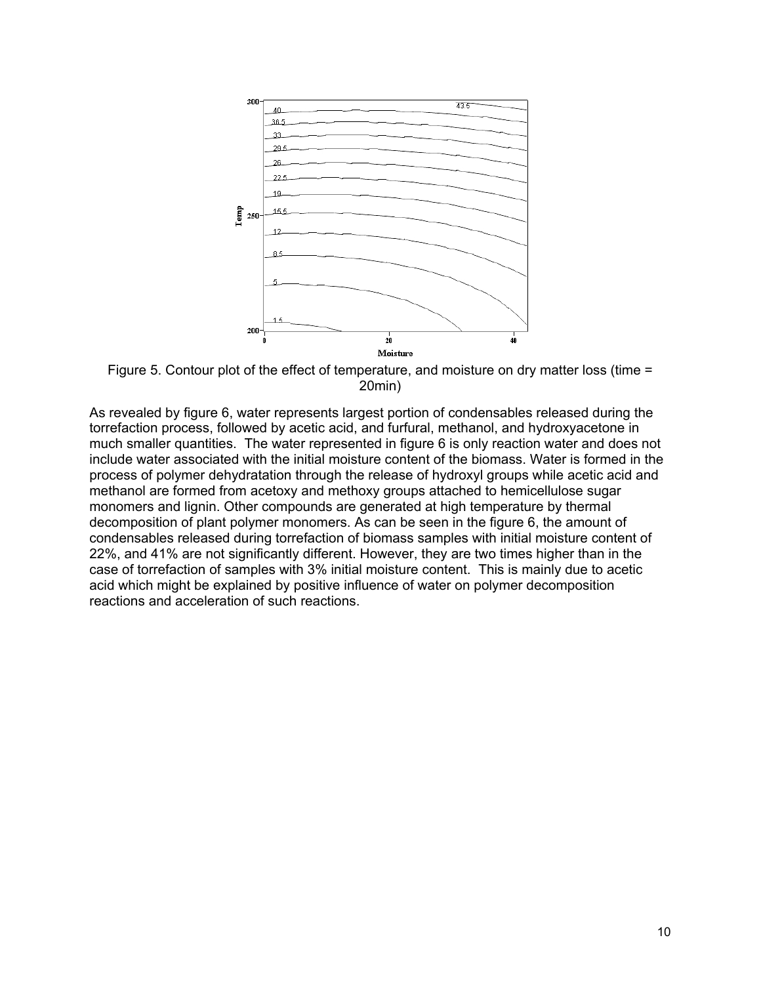

Figure 5. Contour plot of the effect of temperature, and moisture on dry matter loss (time = 20min)

As revealed by figure 6, water represents largest portion of condensables released during the torrefaction process, followed by acetic acid, and furfural, methanol, and hydroxyacetone in much smaller quantities. The water represented in figure 6 is only reaction water and does not include water associated with the initial moisture content of the biomass. Water is formed in the process of polymer dehydratation through the release of hydroxyl groups while acetic acid and methanol are formed from acetoxy and methoxy groups attached to hemicellulose sugar monomers and lignin. Other compounds are generated at high temperature by thermal decomposition of plant polymer monomers. As can be seen in the figure 6, the amount of condensables released during torrefaction of biomass samples with initial moisture content of 22%, and 41% are not significantly different. However, they are two times higher than in the case of torrefaction of samples with 3% initial moisture content. This is mainly due to acetic acid which might be explained by positive influence of water on polymer decomposition reactions and acceleration of such reactions.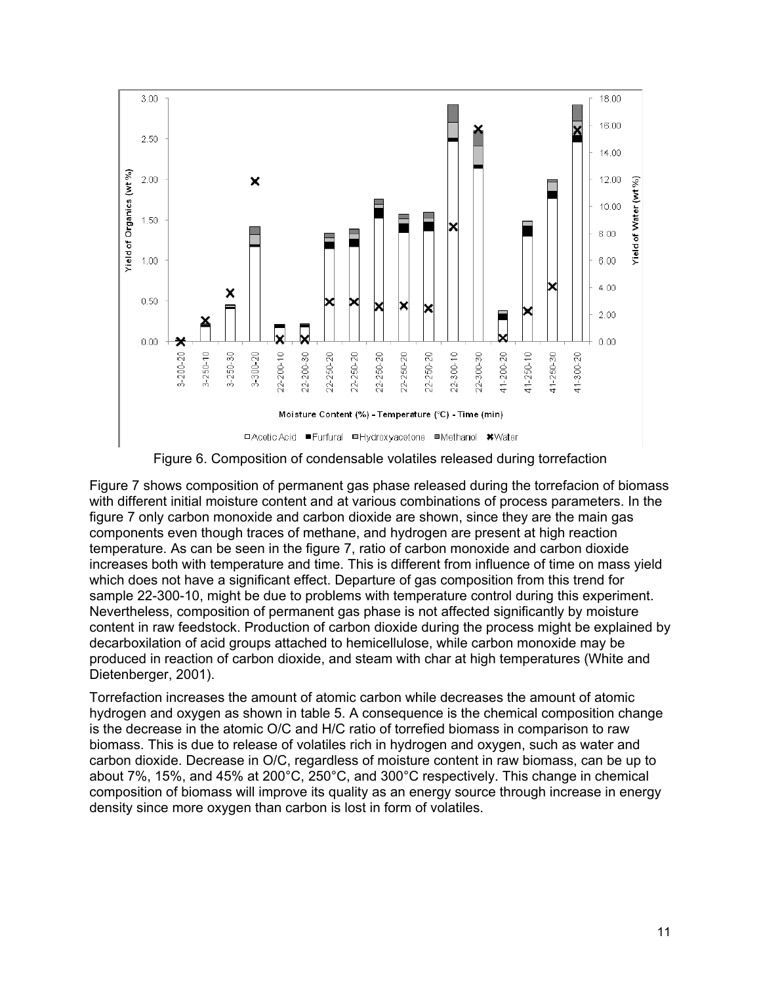

Figure 6. Composition of condensable volatiles released during torrefaction

Figure 7 shows composition of permanent gas phase released during the torrefacion of biomass with different initial moisture content and at various combinations of process parameters. In the figure 7 only carbon monoxide and carbon dioxide are shown, since they are the main gas components even though traces of methane, and hydrogen are present at high reaction temperature. As can be seen in the figure 7, ratio of carbon monoxide and carbon dioxide increases both with temperature and time. This is different from influence of time on mass yield which does not have a significant effect. Departure of gas composition from this trend for sample 22-300-10, might be due to problems with temperature control during this experiment. Nevertheless, composition of permanent gas phase is not affected significantly by moisture content in raw feedstock. Production of carbon dioxide during the process might be explained by decarboxilation of acid groups attached to hemicellulose, while carbon monoxide may be produced in reaction of carbon dioxide, and steam with char at high temperatures (White and Dietenberger, 2001).

Torrefaction increases the amount of atomic carbon while decreases the amount of atomic hydrogen and oxygen as shown in table 5. A consequence is the chemical composition change is the decrease in the atomic O/C and H/C ratio of torrefied biomass in comparison to raw biomass. This is due to release of volatiles rich in hydrogen and oxygen, such as water and carbon dioxide. Decrease in O/C, regardless of moisture content in raw biomass, can be up to about 7%, 15%, and 45% at 200°C, 250°C, and 300°C respectively. This change in chemical composition of biomass will improve its quality as an energy source through increase in energy density since more oxygen than carbon is lost in form of volatiles.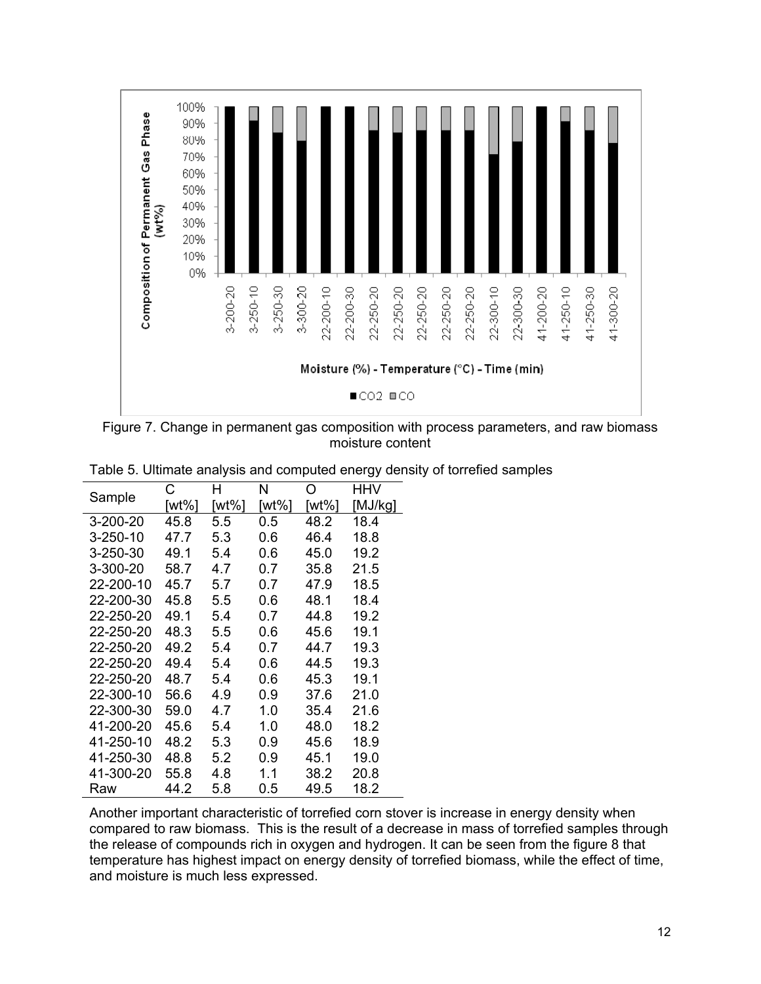

Figure 7. Change in permanent gas composition with process parameters, and raw biomass moisture content

|           |       |       |       |       | ັ       |
|-----------|-------|-------|-------|-------|---------|
|           | С     | н     | Ν     | Ω     | HHV     |
| Sample    | [wt%] | [wt%] | [wt%] | [wt%] | [MJ/kg] |
| 3-200-20  | 45.8  | 5.5   | 0.5   | 48.2  | 18.4    |
| 3-250-10  | 47.7  | 5.3   | 0.6   | 46.4  | 18.8    |
| 3-250-30  | 49.1  | 5.4   | 0.6   | 45.0  | 19.2    |
| 3-300-20  | 58.7  | 4.7   | 0.7   | 35.8  | 21.5    |
| 22-200-10 | 45.7  | 5.7   | 0.7   | 47.9  | 18.5    |
| 22-200-30 | 45.8  | 5.5   | 0.6   | 48.1  | 18.4    |
| 22-250-20 | 49.1  | 5.4   | 0.7   | 44.8  | 19.2    |
| 22-250-20 | 48.3  | 5.5   | 0.6   | 45.6  | 19.1    |
| 22-250-20 | 49.2  | 5.4   | 0.7   | 44.7  | 19.3    |
| 22-250-20 | 49.4  | 5.4   | 0.6   | 44.5  | 19.3    |
| 22-250-20 | 48.7  | 5.4   | 0.6   | 45.3  | 19.1    |
| 22-300-10 | 56.6  | 4.9   | 0.9   | 37.6  | 21.0    |
| 22-300-30 | 59.0  | 4.7   | 1.0   | 35.4  | 21.6    |
| 41-200-20 | 45.6  | 5.4   | 1.0   | 48.0  | 18.2    |
| 41-250-10 | 48.2  | 5.3   | 0.9   | 45.6  | 18.9    |
| 41-250-30 | 48.8  | 5.2   | 0.9   | 45.1  | 19.0    |
| 41-300-20 | 55.8  | 4.8   | 1.1   | 38.2  | 20.8    |
| Raw       | 44.2  | 5.8   | 0.5   | 49.5  | 18.2    |

Table 5. Ultimate analysis and computed energy density of torrefied samples

Another important characteristic of torrefied corn stover is increase in energy density when compared to raw biomass. This is the result of a decrease in mass of torrefied samples through the release of compounds rich in oxygen and hydrogen. It can be seen from the figure 8 that temperature has highest impact on energy density of torrefied biomass, while the effect of time, and moisture is much less expressed.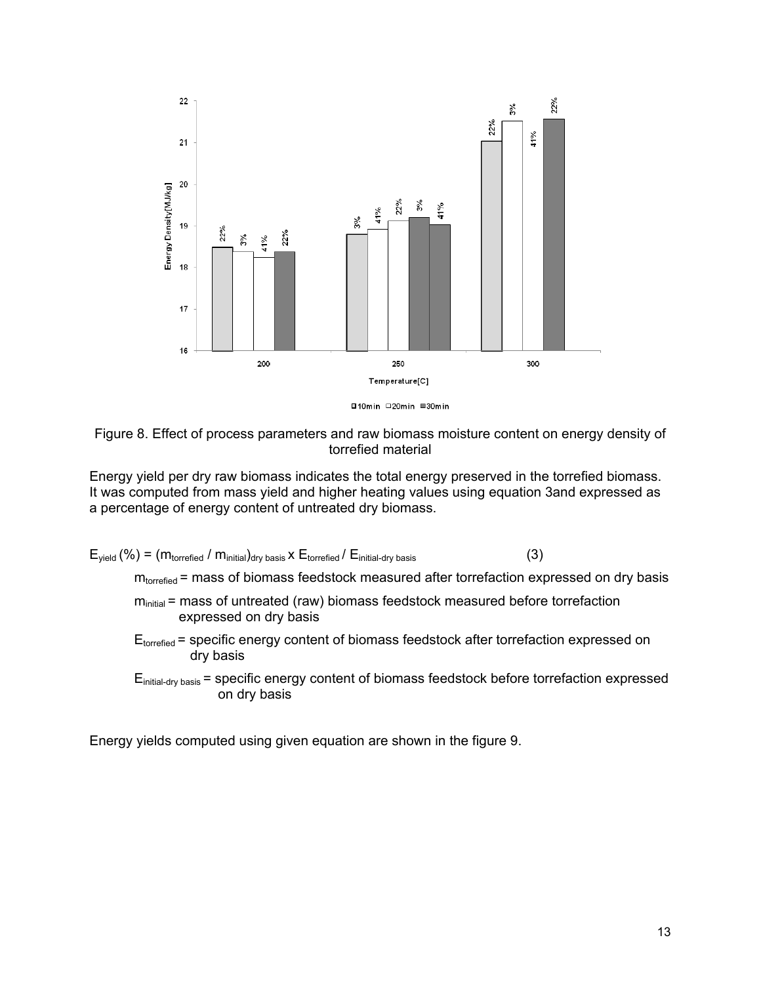

□10min □20min ■30min

Figure 8. Effect of process parameters and raw biomass moisture content on energy density of torrefied material

Energy yield per dry raw biomass indicates the total energy preserved in the torrefied biomass. It was computed from mass yield and higher heating values using equation 3and expressed as a percentage of energy content of untreated dry biomass.

 $E_{yield}$  (%) = ( $m_{torrefied}$  /  $m_{initial}$ )<sub>dry basis</sub> x  $E_{torrefied}$  /  $E_{initial-dry \, basis}$  (3)

 $m<sub>torer</sub> = mass of biomass feedback measured after to  
rrefaction expressed on dry basis$ 

- $m<sub>initial</sub>$  = mass of untreated (raw) biomass feedstock measured before torrefaction expressed on dry basis
- $E<sub>torrefied</sub>$  = specific energy content of biomass feedstock after torrefaction expressed on dry basis
- $E<sub>initial-drv basis</sub>$  = specific energy content of biomass feedstock before torrefaction expressed on dry basis

Energy yields computed using given equation are shown in the figure 9.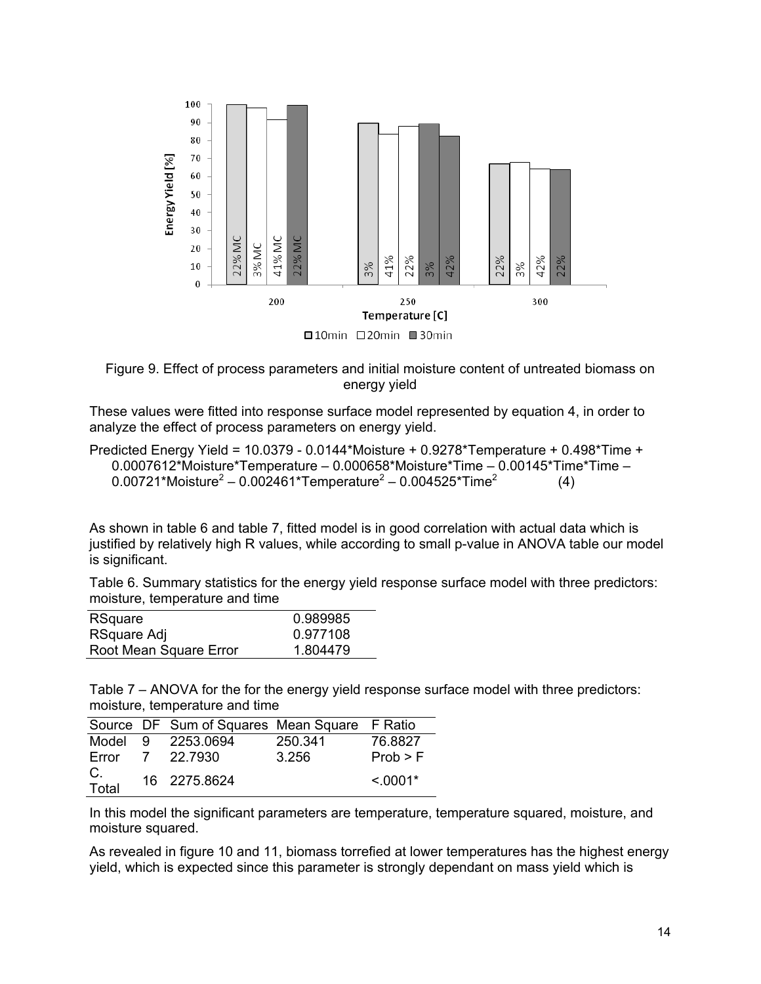

Figure 9. Effect of process parameters and initial moisture content of untreated biomass on energy yield

These values were fitted into response surface model represented by equation 4, in order to analyze the effect of process parameters on energy yield.

Predicted Energy Yield = 10.0379 - 0.0144\*Moisture + 0.9278\*Temperature + 0.498\*Time + 0.0007612\*Moisture\*Temperature – 0.000658\*Moisture\*Time – 0.00145\*Time\*Time – 0.00721\*Moisture<sup>2</sup> – 0.002461\*Temperature<sup>2</sup> – 0.004525\*Time<sup>2</sup> (4)

As shown in table 6 and table 7, fitted model is in good correlation with actual data which is justified by relatively high R values, while according to small p-value in ANOVA table our model is significant.

Table 6. Summary statistics for the energy yield response surface model with three predictors: moisture, temperature and time

| RSquare                | 0.989985 |
|------------------------|----------|
| RSquare Adj            | 0.977108 |
| Root Mean Square Error | 1.804479 |

Table 7 – ANOVA for the for the energy yield response surface model with three predictors: moisture, temperature and time

|             | Source DF Sum of Squares Mean Square F Ratio |         |            |
|-------------|----------------------------------------------|---------|------------|
| Model       | 9 2253.0694                                  | 250.341 | 76.8827    |
| Error       | 7 22.7930                                    | 3.256   | Prob > F   |
| C.<br>Total | 16 2275.8624                                 |         | $< 0.001*$ |

In this model the significant parameters are temperature, temperature squared, moisture, and moisture squared.

As revealed in figure 10 and 11, biomass torrefied at lower temperatures has the highest energy yield, which is expected since this parameter is strongly dependant on mass yield which is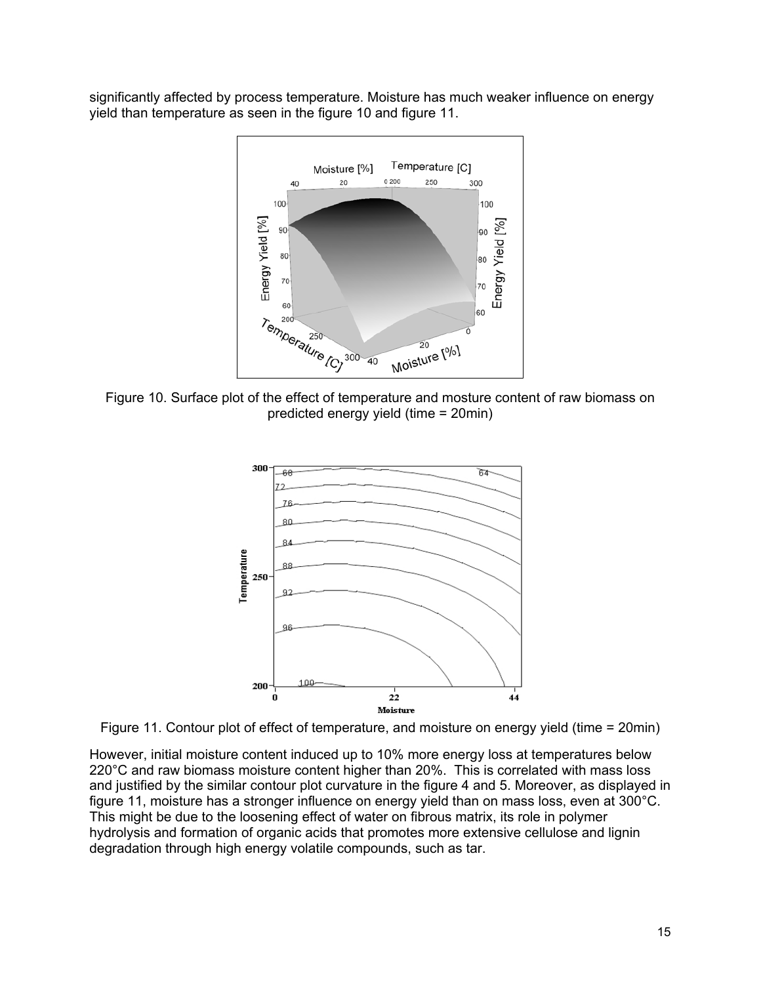significantly affected by process temperature. Moisture has much weaker influence on energy yield than temperature as seen in the figure 10 and figure 11.



Figure 10. Surface plot of the effect of temperature and mosture content of raw biomass on predicted energy yield (time = 20min)





However, initial moisture content induced up to 10% more energy loss at temperatures below 220°C and raw biomass moisture content higher than 20%. This is correlated with mass loss and justified by the similar contour plot curvature in the figure 4 and 5. Moreover, as displayed in figure 11, moisture has a stronger influence on energy yield than on mass loss, even at 300°C. This might be due to the loosening effect of water on fibrous matrix, its role in polymer hydrolysis and formation of organic acids that promotes more extensive cellulose and lignin degradation through high energy volatile compounds, such as tar.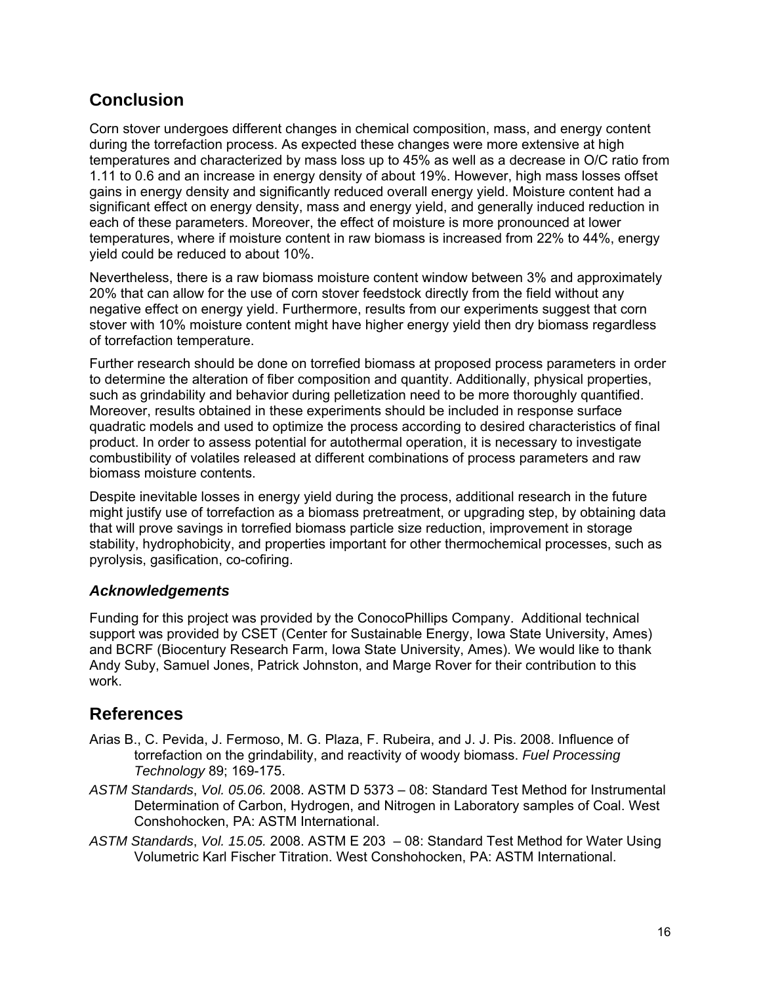# **Conclusion**

Corn stover undergoes different changes in chemical composition, mass, and energy content during the torrefaction process. As expected these changes were more extensive at high temperatures and characterized by mass loss up to 45% as well as a decrease in O/C ratio from 1.11 to 0.6 and an increase in energy density of about 19%. However, high mass losses offset gains in energy density and significantly reduced overall energy yield. Moisture content had a significant effect on energy density, mass and energy yield, and generally induced reduction in each of these parameters. Moreover, the effect of moisture is more pronounced at lower temperatures, where if moisture content in raw biomass is increased from 22% to 44%, energy yield could be reduced to about 10%.

Nevertheless, there is a raw biomass moisture content window between 3% and approximately 20% that can allow for the use of corn stover feedstock directly from the field without any negative effect on energy yield. Furthermore, results from our experiments suggest that corn stover with 10% moisture content might have higher energy yield then dry biomass regardless of torrefaction temperature.

Further research should be done on torrefied biomass at proposed process parameters in order to determine the alteration of fiber composition and quantity. Additionally, physical properties, such as grindability and behavior during pelletization need to be more thoroughly quantified. Moreover, results obtained in these experiments should be included in response surface quadratic models and used to optimize the process according to desired characteristics of final product. In order to assess potential for autothermal operation, it is necessary to investigate combustibility of volatiles released at different combinations of process parameters and raw biomass moisture contents.

Despite inevitable losses in energy yield during the process, additional research in the future might justify use of torrefaction as a biomass pretreatment, or upgrading step, by obtaining data that will prove savings in torrefied biomass particle size reduction, improvement in storage stability, hydrophobicity, and properties important for other thermochemical processes, such as pyrolysis, gasification, co-cofiring.

#### *Acknowledgements*

Funding for this project was provided by the ConocoPhillips Company. Additional technical support was provided by CSET (Center for Sustainable Energy, Iowa State University, Ames) and BCRF (Biocentury Research Farm, Iowa State University, Ames). We would like to thank Andy Suby, Samuel Jones, Patrick Johnston, and Marge Rover for their contribution to this work.

### **References**

- Arias B., C. Pevida, J. Fermoso, M. G. Plaza, F. Rubeira, and J. J. Pis. 2008. Influence of torrefaction on the grindability, and reactivity of woody biomass. *Fuel Processing Technology* 89; 169-175.
- *ASTM Standards*, *Vol. 05.06.* 2008. ASTM D 5373 08: Standard Test Method for Instrumental Determination of Carbon, Hydrogen, and Nitrogen in Laboratory samples of Coal. West Conshohocken, PA: ASTM International.
- *ASTM Standards*, *Vol. 15.05.* 2008. ASTM E 203 08: Standard Test Method for Water Using Volumetric Karl Fischer Titration. West Conshohocken, PA: ASTM International.